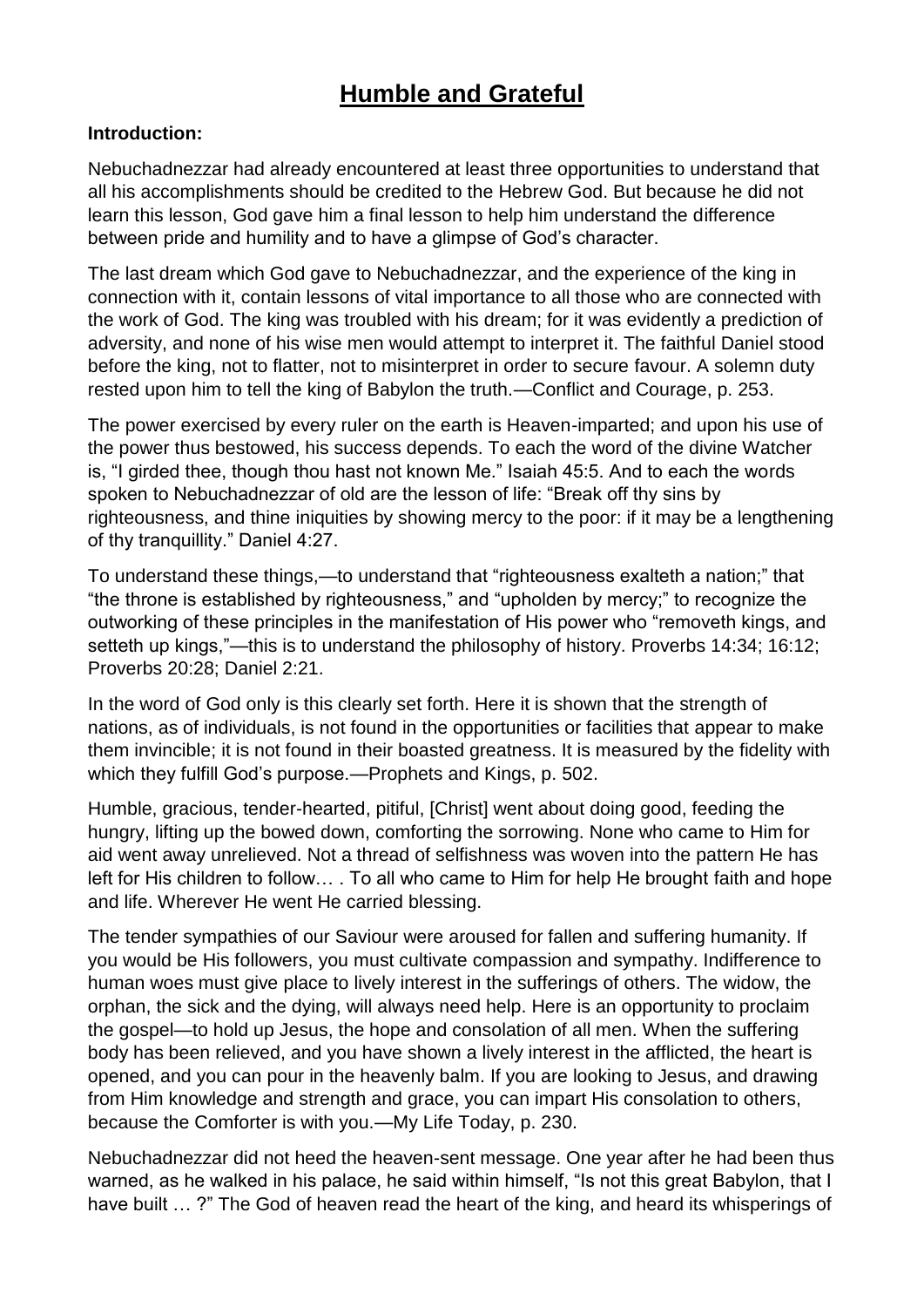# **Humble and Grateful**

#### **Introduction:**

Nebuchadnezzar had already encountered at least three opportunities to understand that all his accomplishments should be credited to the Hebrew God. But because he did not learn this lesson, God gave him a final lesson to help him understand the difference between pride and humility and to have a glimpse of God's character.

The last dream which God gave to Nebuchadnezzar, and the experience of the king in connection with it, contain lessons of vital importance to all those who are connected with the work of God. The king was troubled with his dream; for it was evidently a prediction of adversity, and none of his wise men would attempt to interpret it. The faithful Daniel stood before the king, not to flatter, not to misinterpret in order to secure favour. A solemn duty rested upon him to tell the king of Babylon the truth.—Conflict and Courage, p. 253.

The power exercised by every ruler on the earth is Heaven-imparted; and upon his use of the power thus bestowed, his success depends. To each the word of the divine Watcher is, "I girded thee, though thou hast not known Me." Isaiah 45:5. And to each the words spoken to Nebuchadnezzar of old are the lesson of life: "Break off thy sins by righteousness, and thine iniquities by showing mercy to the poor: if it may be a lengthening of thy tranquillity." Daniel 4:27.

To understand these things,—to understand that "righteousness exalteth a nation;" that "the throne is established by righteousness," and "upholden by mercy;" to recognize the outworking of these principles in the manifestation of His power who "removeth kings, and setteth up kings,"—this is to understand the philosophy of history. Proverbs 14:34; 16:12; Proverbs 20:28; Daniel 2:21.

In the word of God only is this clearly set forth. Here it is shown that the strength of nations, as of individuals, is not found in the opportunities or facilities that appear to make them invincible; it is not found in their boasted greatness. It is measured by the fidelity with which they fulfill God's purpose.—Prophets and Kings, p. 502.

Humble, gracious, tender-hearted, pitiful, [Christ] went about doing good, feeding the hungry, lifting up the bowed down, comforting the sorrowing. None who came to Him for aid went away unrelieved. Not a thread of selfishness was woven into the pattern He has left for His children to follow… . To all who came to Him for help He brought faith and hope and life. Wherever He went He carried blessing.

The tender sympathies of our Saviour were aroused for fallen and suffering humanity. If you would be His followers, you must cultivate compassion and sympathy. Indifference to human woes must give place to lively interest in the sufferings of others. The widow, the orphan, the sick and the dying, will always need help. Here is an opportunity to proclaim the gospel—to hold up Jesus, the hope and consolation of all men. When the suffering body has been relieved, and you have shown a lively interest in the afflicted, the heart is opened, and you can pour in the heavenly balm. If you are looking to Jesus, and drawing from Him knowledge and strength and grace, you can impart His consolation to others, because the Comforter is with you.—My Life Today, p. 230.

Nebuchadnezzar did not heed the heaven-sent message. One year after he had been thus warned, as he walked in his palace, he said within himself, "Is not this great Babylon, that I have built … ?" The God of heaven read the heart of the king, and heard its whisperings of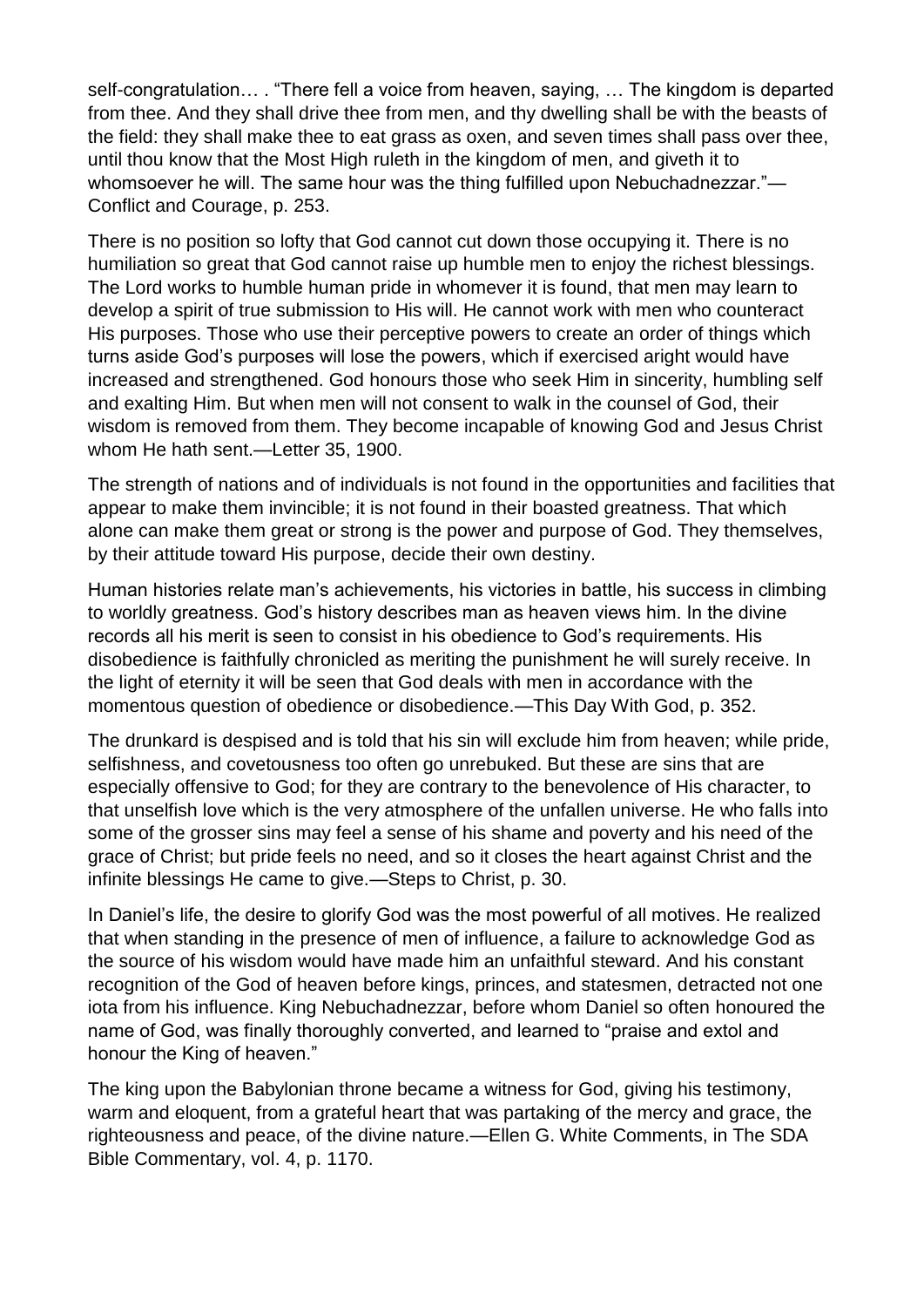self-congratulation… . "There fell a voice from heaven, saying, … The kingdom is departed from thee. And they shall drive thee from men, and thy dwelling shall be with the beasts of the field: they shall make thee to eat grass as oxen, and seven times shall pass over thee, until thou know that the Most High ruleth in the kingdom of men, and giveth it to whomsoever he will. The same hour was the thing fulfilled upon Nebuchadnezzar."— Conflict and Courage, p. 253.

There is no position so lofty that God cannot cut down those occupying it. There is no humiliation so great that God cannot raise up humble men to enjoy the richest blessings. The Lord works to humble human pride in whomever it is found, that men may learn to develop a spirit of true submission to His will. He cannot work with men who counteract His purposes. Those who use their perceptive powers to create an order of things which turns aside God's purposes will lose the powers, which if exercised aright would have increased and strengthened. God honours those who seek Him in sincerity, humbling self and exalting Him. But when men will not consent to walk in the counsel of God, their wisdom is removed from them. They become incapable of knowing God and Jesus Christ whom He hath sent.—Letter 35, 1900.

The strength of nations and of individuals is not found in the opportunities and facilities that appear to make them invincible; it is not found in their boasted greatness. That which alone can make them great or strong is the power and purpose of God. They themselves, by their attitude toward His purpose, decide their own destiny.

Human histories relate man's achievements, his victories in battle, his success in climbing to worldly greatness. God's history describes man as heaven views him. In the divine records all his merit is seen to consist in his obedience to God's requirements. His disobedience is faithfully chronicled as meriting the punishment he will surely receive. In the light of eternity it will be seen that God deals with men in accordance with the momentous question of obedience or disobedience.—This Day With God, p. 352.

The drunkard is despised and is told that his sin will exclude him from heaven; while pride, selfishness, and covetousness too often go unrebuked. But these are sins that are especially offensive to God; for they are contrary to the benevolence of His character, to that unselfish love which is the very atmosphere of the unfallen universe. He who falls into some of the grosser sins may feel a sense of his shame and poverty and his need of the grace of Christ; but pride feels no need, and so it closes the heart against Christ and the infinite blessings He came to give.—Steps to Christ, p. 30.

In Daniel's life, the desire to glorify God was the most powerful of all motives. He realized that when standing in the presence of men of influence, a failure to acknowledge God as the source of his wisdom would have made him an unfaithful steward. And his constant recognition of the God of heaven before kings, princes, and statesmen, detracted not one iota from his influence. King Nebuchadnezzar, before whom Daniel so often honoured the name of God, was finally thoroughly converted, and learned to "praise and extol and honour the King of heaven."

The king upon the Babylonian throne became a witness for God, giving his testimony, warm and eloquent, from a grateful heart that was partaking of the mercy and grace, the righteousness and peace, of the divine nature.—Ellen G. White Comments, in The SDA Bible Commentary, vol. 4, p. 1170.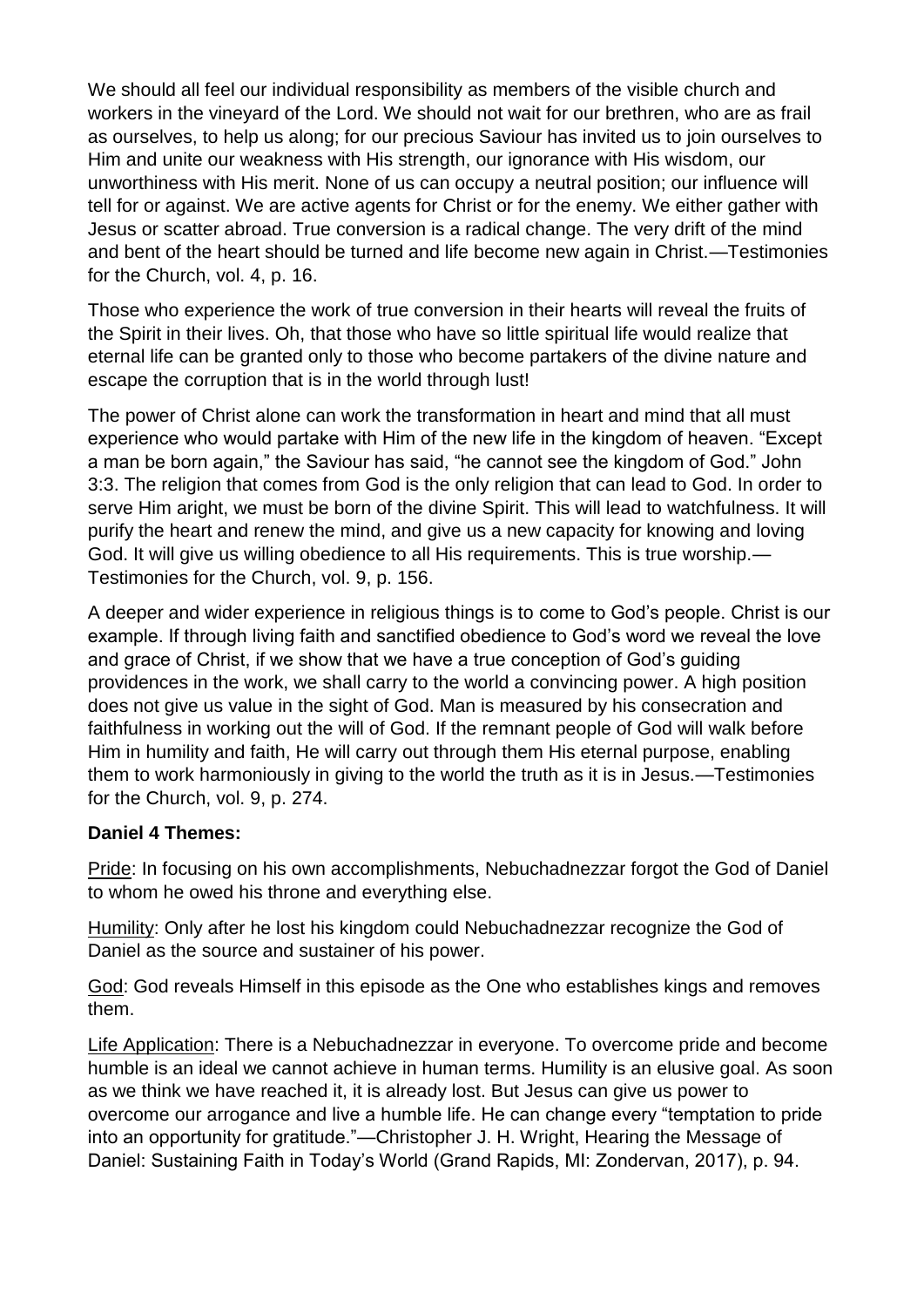We should all feel our individual responsibility as members of the visible church and workers in the vineyard of the Lord. We should not wait for our brethren, who are as frail as ourselves, to help us along; for our precious Saviour has invited us to join ourselves to Him and unite our weakness with His strength, our ignorance with His wisdom, our unworthiness with His merit. None of us can occupy a neutral position; our influence will tell for or against. We are active agents for Christ or for the enemy. We either gather with Jesus or scatter abroad. True conversion is a radical change. The very drift of the mind and bent of the heart should be turned and life become new again in Christ.—Testimonies for the Church, vol. 4, p. 16.

Those who experience the work of true conversion in their hearts will reveal the fruits of the Spirit in their lives. Oh, that those who have so little spiritual life would realize that eternal life can be granted only to those who become partakers of the divine nature and escape the corruption that is in the world through lust!

The power of Christ alone can work the transformation in heart and mind that all must experience who would partake with Him of the new life in the kingdom of heaven. "Except a man be born again," the Saviour has said, "he cannot see the kingdom of God." John 3:3. The religion that comes from God is the only religion that can lead to God. In order to serve Him aright, we must be born of the divine Spirit. This will lead to watchfulness. It will purify the heart and renew the mind, and give us a new capacity for knowing and loving God. It will give us willing obedience to all His requirements. This is true worship.— Testimonies for the Church, vol. 9, p. 156.

A deeper and wider experience in religious things is to come to God's people. Christ is our example. If through living faith and sanctified obedience to God's word we reveal the love and grace of Christ, if we show that we have a true conception of God's guiding providences in the work, we shall carry to the world a convincing power. A high position does not give us value in the sight of God. Man is measured by his consecration and faithfulness in working out the will of God. If the remnant people of God will walk before Him in humility and faith, He will carry out through them His eternal purpose, enabling them to work harmoniously in giving to the world the truth as it is in Jesus.—Testimonies for the Church, vol. 9, p. 274.

### **Daniel 4 Themes:**

Pride: In focusing on his own accomplishments, Nebuchadnezzar forgot the God of Daniel to whom he owed his throne and everything else.

Humility: Only after he lost his kingdom could Nebuchadnezzar recognize the God of Daniel as the source and sustainer of his power.

God: God reveals Himself in this episode as the One who establishes kings and removes them.

Life Application: There is a Nebuchadnezzar in everyone. To overcome pride and become humble is an ideal we cannot achieve in human terms. Humility is an elusive goal. As soon as we think we have reached it, it is already lost. But Jesus can give us power to overcome our arrogance and live a humble life. He can change every "temptation to pride into an opportunity for gratitude."—Christopher J. H. Wright, Hearing the Message of Daniel: Sustaining Faith in Today's World (Grand Rapids, MI: Zondervan, 2017), p. 94.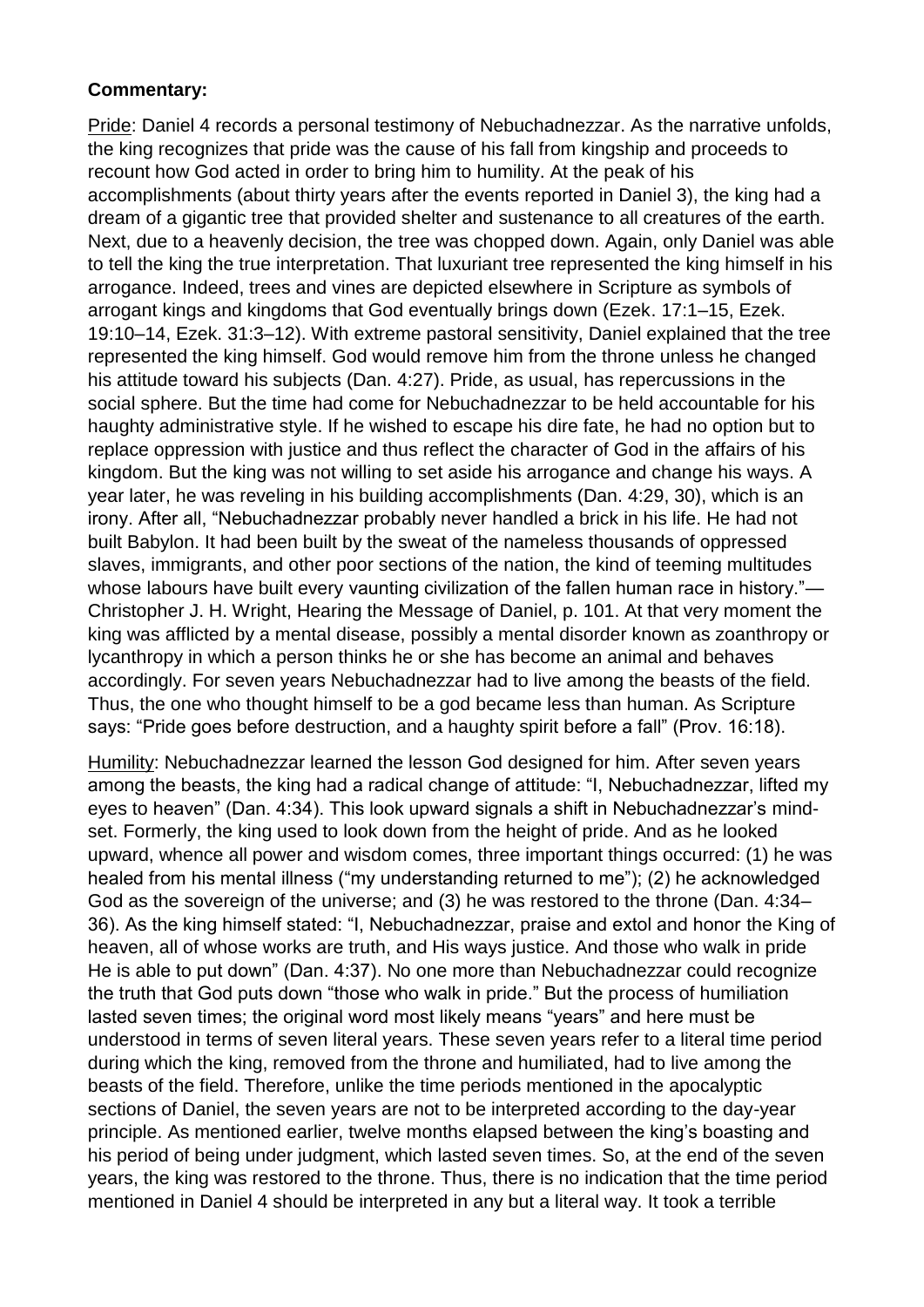### **Commentary:**

Pride: Daniel 4 records a personal testimony of Nebuchadnezzar. As the narrative unfolds, the king recognizes that pride was the cause of his fall from kingship and proceeds to recount how God acted in order to bring him to humility. At the peak of his accomplishments (about thirty years after the events reported in Daniel 3), the king had a dream of a gigantic tree that provided shelter and sustenance to all creatures of the earth. Next, due to a heavenly decision, the tree was chopped down. Again, only Daniel was able to tell the king the true interpretation. That luxuriant tree represented the king himself in his arrogance. Indeed, trees and vines are depicted elsewhere in Scripture as symbols of arrogant kings and kingdoms that God eventually brings down (Ezek. 17:1–15, Ezek. 19:10–14, Ezek. 31:3–12). With extreme pastoral sensitivity, Daniel explained that the tree represented the king himself. God would remove him from the throne unless he changed his attitude toward his subjects (Dan. 4:27). Pride, as usual, has repercussions in the social sphere. But the time had come for Nebuchadnezzar to be held accountable for his haughty administrative style. If he wished to escape his dire fate, he had no option but to replace oppression with justice and thus reflect the character of God in the affairs of his kingdom. But the king was not willing to set aside his arrogance and change his ways. A year later, he was reveling in his building accomplishments (Dan. 4:29, 30), which is an irony. After all, "Nebuchadnezzar probably never handled a brick in his life. He had not built Babylon. It had been built by the sweat of the nameless thousands of oppressed slaves, immigrants, and other poor sections of the nation, the kind of teeming multitudes whose labours have built every vaunting civilization of the fallen human race in history."— Christopher J. H. Wright, Hearing the Message of Daniel, p. 101. At that very moment the king was afflicted by a mental disease, possibly a mental disorder known as zoanthropy or lycanthropy in which a person thinks he or she has become an animal and behaves accordingly. For seven years Nebuchadnezzar had to live among the beasts of the field. Thus, the one who thought himself to be a god became less than human. As Scripture says: "Pride goes before destruction, and a haughty spirit before a fall" (Prov. 16:18).

Humility: Nebuchadnezzar learned the lesson God designed for him. After seven years among the beasts, the king had a radical change of attitude: "I, Nebuchadnezzar, lifted my eyes to heaven" (Dan. 4:34). This look upward signals a shift in Nebuchadnezzar's mindset. Formerly, the king used to look down from the height of pride. And as he looked upward, whence all power and wisdom comes, three important things occurred: (1) he was healed from his mental illness ("my understanding returned to me"); (2) he acknowledged God as the sovereign of the universe; and (3) he was restored to the throne (Dan. 4:34– 36). As the king himself stated: "I, Nebuchadnezzar, praise and extol and honor the King of heaven, all of whose works are truth, and His ways justice. And those who walk in pride He is able to put down" (Dan. 4:37). No one more than Nebuchadnezzar could recognize the truth that God puts down "those who walk in pride." But the process of humiliation lasted seven times; the original word most likely means "years" and here must be understood in terms of seven literal years. These seven years refer to a literal time period during which the king, removed from the throne and humiliated, had to live among the beasts of the field. Therefore, unlike the time periods mentioned in the apocalyptic sections of Daniel, the seven years are not to be interpreted according to the day-year principle. As mentioned earlier, twelve months elapsed between the king's boasting and his period of being under judgment, which lasted seven times. So, at the end of the seven years, the king was restored to the throne. Thus, there is no indication that the time period mentioned in Daniel 4 should be interpreted in any but a literal way. It took a terrible